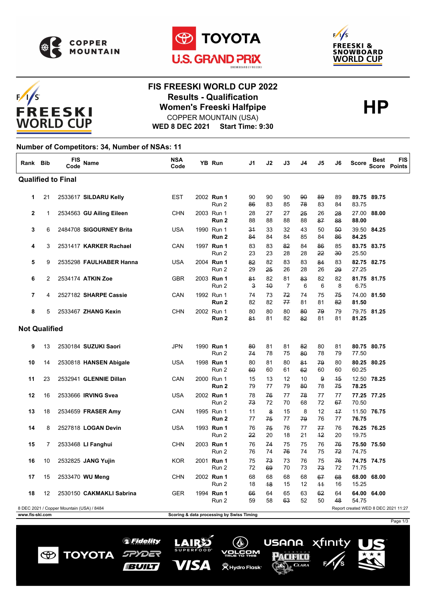





# $F/1/S$ FREESKI **WORLD CUP**

## **FIS FREESKI WORLD CUP 2022 Results - Qualification<br>
Women's Freeski Halfpipe<br>
COPPER MOUNTAIN (USA)** COPPER MOUNTAIN (USA)

### **WED 8 DEC 2021 Start Time: 9:30**

#### **Number of Competitors: 34, Number of NSAs: 11**

| Rank Bib             |    | <b>FIS</b><br>Code                        | Name                     | <b>NSA</b><br>Code | <b>YB Run</b>                             | J1       | J2       | J3                   | J4       | J5         | J6       | Score                               | Best        | <b>FIS</b><br>Score Points |
|----------------------|----|-------------------------------------------|--------------------------|--------------------|-------------------------------------------|----------|----------|----------------------|----------|------------|----------|-------------------------------------|-------------|----------------------------|
|                      |    | <b>Qualified to Final</b>                 |                          |                    |                                           |          |          |                      |          |            |          |                                     |             |                            |
| 1                    | 21 |                                           | 2533617 SILDARU Kelly    | EST                | 2002 Run 1<br>Run 2                       | 90<br>86 | 90<br>83 | 90<br>85             | 90<br>78 | 89<br>83   | 89<br>84 | 83.75                               | 89.75 89.75 |                            |
| $\mathbf{2}$         | 1  |                                           | 2534563 GU Ailing Eileen | CHN                | 2003 Run 1<br>Run 2                       | 28<br>88 | 27<br>88 | 27<br>88             | 25<br>88 | 26<br>87   | 28<br>88 | 27.00<br>88.00                      | 88.00       |                            |
| 3                    | 6  |                                           | 2484708 SIGOURNEY Brita  | <b>USA</b>         | 1990 Run 1<br>Run <sub>2</sub>            | 31<br>84 | 33<br>84 | 32<br>84             | 43<br>85 | 50<br>84   | 50<br>86 | 84.25                               | 39.50 84.25 |                            |
| 4                    | 3  |                                           | 2531417 KARKER Rachael   | CAN                | 1997 Run 1<br>Run 2                       | 83<br>23 | 83<br>23 | 82<br>28             | 84<br>28 | 86<br>22   | 85<br>30 | 25.50                               | 83.75 83.75 |                            |
| 5                    | 9  |                                           | 2535298 FAULHABER Hanna  | USA                | 2004 Run 1<br>Run 2                       | 82<br>29 | 82<br>25 | 83<br>26             | 83<br>28 | 84<br>26   | 83<br>29 | 27.25                               | 82.75 82.75 |                            |
| 6                    | 2  |                                           | 2534174 ATKIN Zoe        | <b>GBR</b>         | 2003 Run 1<br>Run 2                       | 81<br>3  | 82<br>40 | 81<br>$\overline{7}$ | 83<br>6  | 82<br>6    | 82<br>8  | 6.75                                | 81.75 81.75 |                            |
| $\overline{7}$       | 4  |                                           | 2527182 SHARPE Cassie    | CAN                | 1992 Run 1<br>Run 2                       | 74<br>82 | 73<br>82 | 72<br>77             | 74<br>81 | 75<br>81   | 75<br>82 | 81.50                               | 74.00 81.50 |                            |
| 8                    | 5  |                                           | 2533467 ZHANG Kexin      | <b>CHN</b>         | 2002 Run 1<br>Run 2                       | 80<br>81 | 80<br>81 | 80<br>82             | 80<br>82 | 79<br>81   | 79<br>81 | 81.25                               | 79.75 81.25 |                            |
| <b>Not Qualified</b> |    |                                           |                          |                    |                                           |          |          |                      |          |            |          |                                     |             |                            |
| 9                    | 13 |                                           | 2530184 SUZUKI Saori     | JPN                | 1990 Run 1<br>Run 2                       | 80<br>74 | 81<br>78 | 81<br>75             | 82<br>80 | 80<br>78   | 81<br>79 | 77.50                               | 80.75 80.75 |                            |
| 10                   | 14 |                                           | 2530818 HANSEN Abigale   | USA                | 1998 Run 1<br>Run 2                       | 80<br>60 | 81<br>60 | 80<br>61             | 84<br>62 | 79<br>60   | 80<br>60 | 60.25                               | 80.25 80.25 |                            |
| 11                   | 23 |                                           | 2532941 GLENNIE Dillan   | CAN                | 2000 Run 1<br>Run 2                       | 15<br>79 | 13<br>77 | 12<br>79             | 10<br>80 | 9<br>78    | 45<br>75 | 78.25                               | 12.50 78.25 |                            |
| 12                   | 16 |                                           | 2533666 IRVING Svea      | <b>USA</b>         | 2002 Run 1<br>Run 2                       | 78<br>73 | 76<br>72 | 77<br>70             | 78<br>68 | 77<br>72   | 77<br>67 | 70.50                               | 77.25 77.25 |                            |
| 13                   | 18 |                                           | 2534659 FRASER Amy       | CAN                | 1995 Run 1<br>Run 2                       | 11<br>77 | 8<br>75  | 15<br>77             | 8<br>79  | 12<br>76   | 47<br>77 | 76.75                               | 11.50 76.75 |                            |
| 14                   | 8  |                                           | 2527818 LOGAN Devin      | USA                | 1993 Run 1<br>Run 2                       | 76<br>22 | 75<br>20 | 76<br>18             | 77<br>21 | 77<br>42   | 76<br>20 | 19.75                               | 76.25 76.25 |                            |
| 15                   | 7  |                                           | 2533468 LI Fanghui       | <b>CHN</b>         | 2003 Run 1<br>Run 2                       | 76<br>76 | 74<br>74 | 75<br>76             | 75<br>74 | 76<br>75   | 76<br>72 | 75.50<br>74.75                      | 75.50       |                            |
| 16                   | 10 |                                           | 2532825 JANG Yujin       | <b>KOR</b>         | 2001 Run 1<br>Run 2                       | 75<br>72 | 73<br>69 | 73<br>70             | 76<br>73 | 75<br>73   | 76<br>72 | 71.75                               | 74.75 74.75 |                            |
| 17                   | 15 |                                           | 2533470 WU Meng          | <b>CHN</b>         | 2002 Run 1<br>Run 2                       | 68<br>18 | 68<br>48 | 68<br>15             | 68<br>12 | 67<br>$+4$ | 68<br>16 | 68.00<br>15.25                      | 68.00       |                            |
| 18                   | 12 |                                           | 2530150 CAKMAKLI Sabrina | GER                | 1994 Run 1<br>Run 2                       | 66<br>59 | 64<br>58 | 65<br>63             | 63<br>52 | 62<br>50   | 64<br>48 | 54.75                               | 64.00 64.00 |                            |
| www.fis-ski.com      |    | 8 DEC 2021 / Copper Mountain (USA) / 8484 |                          |                    | Scoring & data processing by Swiss Timing |          |          |                      |          |            |          | Report created WED 8 DEC 2021 11:27 |             |                            |







**BUILT** 



USANA.

PACIFICO

 $\Lambda$  CLARA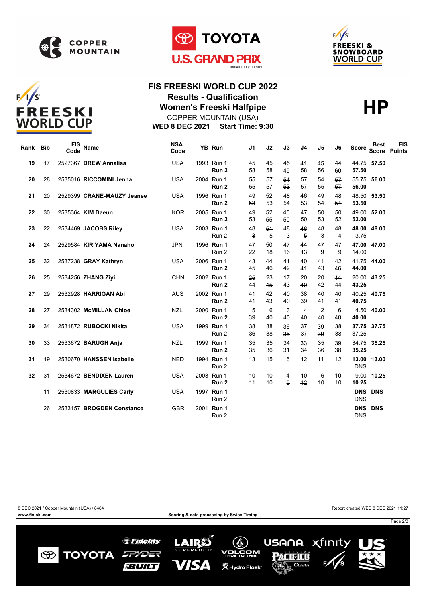







## **FIS FREESKI WORLD CUP 2022 Results - Qualification<br>
Women's Freeski Halfpipe<br>
COPPER MOUNTAIN (USA)** COPPER MOUNTAIN (USA)

**WED 8 DEC 2021 Start Time: 9:30**

| Rank | <b>Bib</b> | <b>FIS</b><br>Code | <b>Name</b>                | <b>NSA</b><br>Code | YB Run                         | J <sub>1</sub>     | J2       | J3       | J4         | J5                   | J6       | <b>Score</b>        | <b>Best</b>    | <b>FIS</b><br><b>Score Points</b> |
|------|------------|--------------------|----------------------------|--------------------|--------------------------------|--------------------|----------|----------|------------|----------------------|----------|---------------------|----------------|-----------------------------------|
| 19   | 17         |                    | 2527367 DREW Annalisa      | <b>USA</b>         | 1993 Run 1<br>Run <sub>2</sub> | 45<br>58           | 45<br>58 | 45<br>49 | 41<br>58   | 45<br>56             | 44<br>60 | 57.50               | 44.75 57.50    |                                   |
| 20   | 28         |                    | 2535016 RICCOMINI Jenna    | <b>USA</b>         | 2004 Run 1<br>Run <sub>2</sub> | 55<br>55           | 57<br>57 | 54<br>53 | 57<br>57   | 54<br>55             | 57<br>57 | 55.75<br>56.00      | 56.00          |                                   |
| 21   | 20         |                    | 2529399 CRANE-MAUZY Jeanee | <b>USA</b>         | 1996 Run 1<br>Run <sub>2</sub> | 49<br>53           | 52<br>53 | 48<br>54 | 46<br>53   | 49<br>54             | 48<br>54 | 53.50               | 48.50 53.50    |                                   |
| 22   | 30         |                    | 2535364 KIM Daeun          | <b>KOR</b>         | 2005 Run 1<br>Run <sub>2</sub> | 49<br>53           | 52<br>55 | 45<br>50 | 47<br>50   | 50<br>53             | 50<br>52 | 49.00<br>52.00      | 52.00          |                                   |
| 23   | 22         |                    | 2534469 JACOBS Riley       | <b>USA</b>         | 2003 Run 1<br>Run 2            | 48<br>$\mathbf{a}$ | 54<br>5  | 48<br>3  | 46<br>5    | 48<br>3              | 48<br>4  | 3.75                | 48.00 48.00    |                                   |
| 24   | 24         |                    | 2529584 KIRIYAMA Nanaho    | <b>JPN</b>         | 1996 Run 1<br>Run 2            | 47<br>22           | 50<br>18 | 47<br>16 | 44<br>13   | 47<br>9              | 47<br>9  | 14.00               | 47.00 47.00    |                                   |
| 25   | 32         |                    | 2537238 GRAY Kathryn       | <b>USA</b>         | 2006 Run 1<br>Run <sub>2</sub> | 43<br>45           | 44<br>46 | 41<br>42 | 40<br>41   | 41<br>43             | 42<br>46 | 44.00               | 41.75 44.00    |                                   |
| 26   | 25         |                    | 2534256 ZHANG Zivi         | <b>CHN</b>         | 2002 Run 1<br>Run <sub>2</sub> | 25<br>44           | 23<br>45 | 17<br>43 | 20<br>40   | 20<br>42             | 44<br>44 | 43.25               | 20.00 43.25    |                                   |
| 27   | 29         |                    | 2532928 HARRIGAN Abi       | <b>AUS</b>         | 2002 Run 1<br>Run <sub>2</sub> | 41<br>41           | 42<br>43 | 40<br>40 | 38<br>39   | 40<br>41             | 40<br>41 | 40.75               | 40.25 40.75    |                                   |
| 28   | 27         |                    | 2534302 McMILLAN Chloe     | <b>NZL</b>         | 2000 Run 1<br>Run <sub>2</sub> | 5<br>39            | 6<br>40  | 3<br>40  | 4<br>40    | $\overline{2}$<br>40 | 6<br>40  | 40.00               | 4.50 40.00     |                                   |
| 29   | 34         |                    | 2531872 RUBOCKI Nikita     | <b>USA</b>         | 1999 Run 1<br>Run 2            | 38<br>36           | 38<br>38 | 36<br>35 | 37<br>37   | 39<br>39             | 38<br>38 | 37.25               | 37.75 37.75    |                                   |
| 30   | 33         |                    | 2533672 BARUGH Anja        | <b>NZL</b>         | 1999 Run 1<br>Run <sub>2</sub> | 35<br>35           | 35<br>36 | 34<br>34 | 33<br>34   | 35<br>36             | 39<br>38 | 34.75<br>35.25      | 35.25          |                                   |
| 31   | 19         |                    | 2530670 HANSSEN Isabelle   | <b>NED</b>         | 1994 Run 1<br>Run 2            | 13                 | 15       | 46       | 12         | $+4$                 | 12       | 13.00<br><b>DNS</b> | 13.00          |                                   |
| 32   | 31         |                    | 2534672 BENDIXEN Lauren    | <b>USA</b>         | 2003 Run 1<br>Run <sub>2</sub> | 10<br>11           | 10<br>10 | 4<br>9   | 10<br>$+2$ | 6<br>10              | 40<br>10 | 9.00<br>10.25       | 10.25          |                                   |
|      | 11         |                    | 2530833 MARGULIES Carly    | <b>USA</b>         | 1997 Run 1<br>Run 2            |                    |          |          |            |                      |          | <b>DNS</b>          | <b>DNS DNS</b> |                                   |
|      | 26         |                    | 2533157 BROGDEN Constance  | <b>GBR</b>         | 2001 Run 1<br>Run 2            |                    |          |          |            |                      |          | <b>DNS</b>          | <b>DNS DNS</b> |                                   |